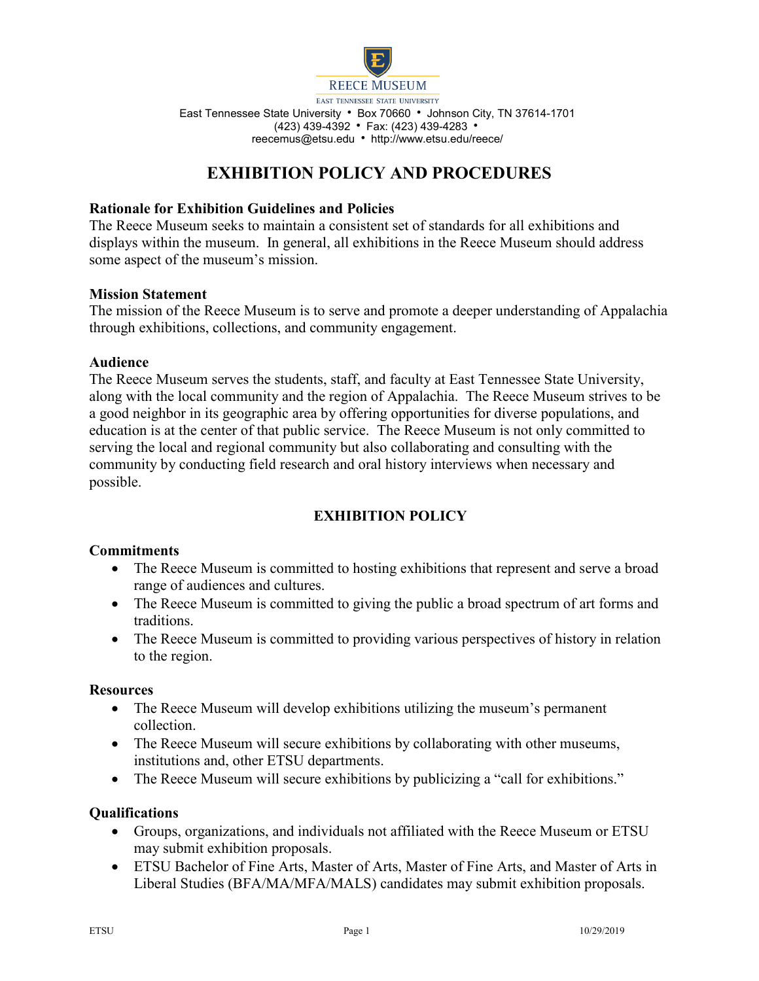

# **EXHIBITION POLICY AND PROCEDURES**

### **Rationale for Exhibition Guidelines and Policies**

The Reece Museum seeks to maintain a consistent set of standards for all exhibitions and displays within the museum. In general, all exhibitions in the Reece Museum should address some aspect of the museum's mission.

### **Mission Statement**

The mission of the Reece Museum is to serve and promote a deeper understanding of Appalachia through exhibitions, collections, and community engagement.

### **Audience**

The Reece Museum serves the students, staff, and faculty at East Tennessee State University, along with the local community and the region of Appalachia. The Reece Museum strives to be a good neighbor in its geographic area by offering opportunities for diverse populations, and education is at the center of that public service. The Reece Museum is not only committed to serving the local and regional community but also collaborating and consulting with the community by conducting field research and oral history interviews when necessary and possible.

# **EXHIBITION POLICY**

### **Commitments**

- The Reece Museum is committed to hosting exhibitions that represent and serve a broad range of audiences and cultures.
- The Reece Museum is committed to giving the public a broad spectrum of art forms and traditions.
- The Reece Museum is committed to providing various perspectives of history in relation to the region.

### **Resources**

- The Reece Museum will develop exhibitions utilizing the museum's permanent collection.
- The Reece Museum will secure exhibitions by collaborating with other museums, institutions and, other ETSU departments.
- The Reece Museum will secure exhibitions by publicizing a "call for exhibitions."

### **Qualifications**

- Groups, organizations, and individuals not affiliated with the Reece Museum or ETSU may submit exhibition proposals.
- ETSU Bachelor of Fine Arts, Master of Arts, Master of Fine Arts, and Master of Arts in Liberal Studies (BFA/MA/MFA/MALS) candidates may submit exhibition proposals.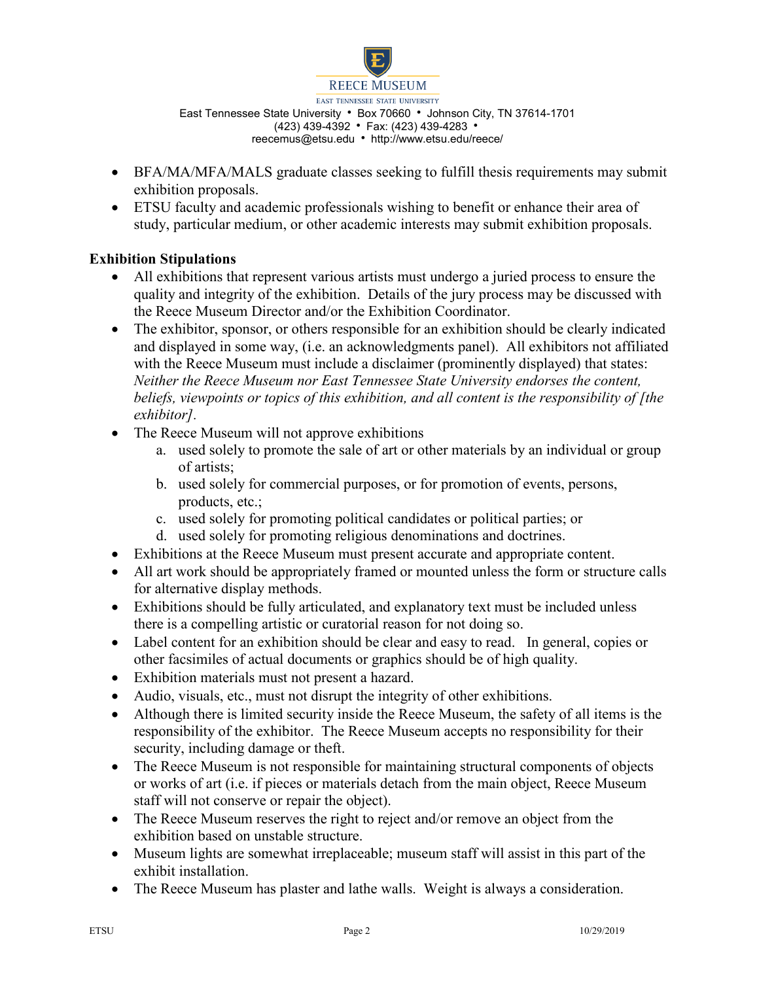

- BFA/MA/MFA/MALS graduate classes seeking to fulfill thesis requirements may submit exhibition proposals.
- ETSU faculty and academic professionals wishing to benefit or enhance their area of study, particular medium, or other academic interests may submit exhibition proposals.

# **Exhibition Stipulations**

- All exhibitions that represent various artists must undergo a juried process to ensure the quality and integrity of the exhibition. Details of the jury process may be discussed with the Reece Museum Director and/or the Exhibition Coordinator.
- The exhibitor, sponsor, or others responsible for an exhibition should be clearly indicated and displayed in some way, (i.e. an acknowledgments panel). All exhibitors not affiliated with the Reece Museum must include a disclaimer (prominently displayed) that states: *Neither the Reece Museum nor East Tennessee State University endorses the content, beliefs, viewpoints or topics of this exhibition, and all content is the responsibility of [the exhibitor].*
- The Reece Museum will not approve exhibitions
	- a. used solely to promote the sale of art or other materials by an individual or group of artists;
	- b. used solely for commercial purposes, or for promotion of events, persons, products, etc.;
	- c. used solely for promoting political candidates or political parties; or
	- d. used solely for promoting religious denominations and doctrines.
- Exhibitions at the Reece Museum must present accurate and appropriate content.
- All art work should be appropriately framed or mounted unless the form or structure calls for alternative display methods.
- Exhibitions should be fully articulated, and explanatory text must be included unless there is a compelling artistic or curatorial reason for not doing so.
- Label content for an exhibition should be clear and easy to read. In general, copies or other facsimiles of actual documents or graphics should be of high quality.
- Exhibition materials must not present a hazard.
- Audio, visuals, etc., must not disrupt the integrity of other exhibitions.
- Although there is limited security inside the Reece Museum, the safety of all items is the responsibility of the exhibitor. The Reece Museum accepts no responsibility for their security, including damage or theft.
- The Reece Museum is not responsible for maintaining structural components of objects or works of art (i.e. if pieces or materials detach from the main object, Reece Museum staff will not conserve or repair the object).
- The Reece Museum reserves the right to reject and/or remove an object from the exhibition based on unstable structure.
- Museum lights are somewhat irreplaceable; museum staff will assist in this part of the exhibit installation.
- The Reece Museum has plaster and lathe walls. Weight is always a consideration.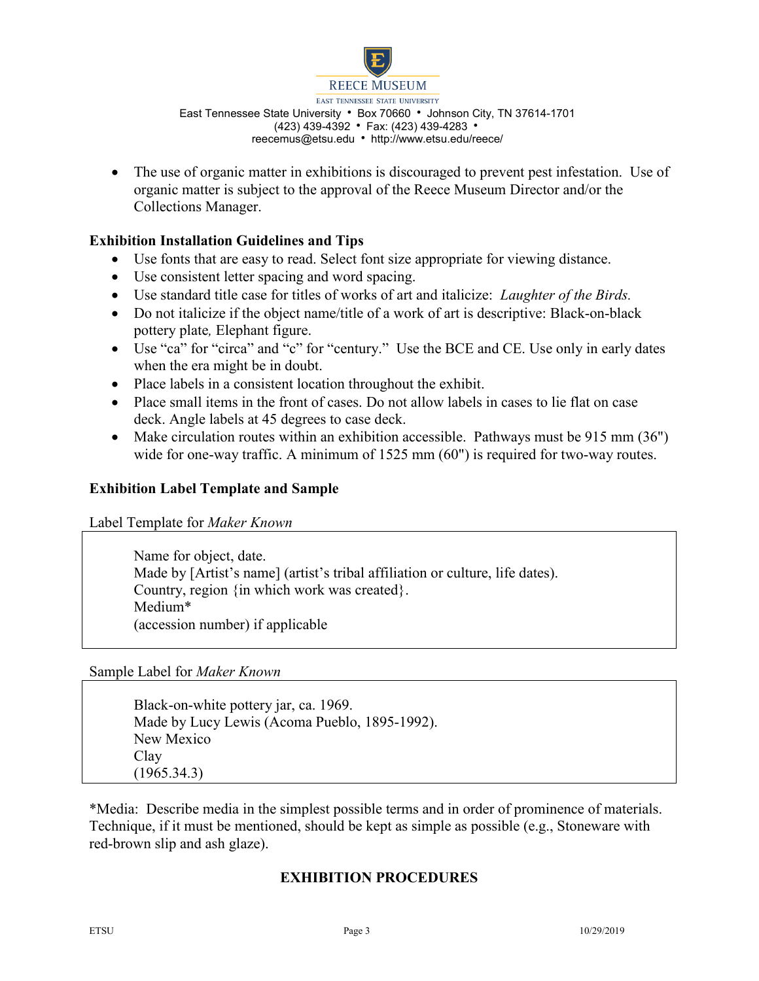

• The use of organic matter in exhibitions is discouraged to prevent pest infestation. Use of organic matter is subject to the approval of the Reece Museum Director and/or the Collections Manager.

### **Exhibition Installation Guidelines and Tips**

- Use fonts that are easy to read. Select font size appropriate for viewing distance.
- Use consistent letter spacing and word spacing.
- Use standard title case for titles of works of art and italicize: *Laughter of the Birds.*
- Do not italicize if the object name/title of a work of art is descriptive: Black-on-black pottery plate*,* Elephant figure.
- Use "ca" for "circa" and "c" for "century." Use the BCE and CE. Use only in early dates when the era might be in doubt.
- Place labels in a consistent location throughout the exhibit.
- Place small items in the front of cases. Do not allow labels in cases to lie flat on case deck. Angle labels at 45 degrees to case deck.
- Make circulation routes within an exhibition accessible. Pathways must be 915 mm (36") wide for one-way traffic. A minimum of 1525 mm (60") is required for two-way routes.

### **Exhibition Label Template and Sample**

Label Template for *Maker Known*

Name for object, date. Made by [Artist's name] (artist's tribal affiliation or culture, life dates). Country, region {in which work was created}. Medium\* (accession number) if applicable

Sample Label for *Maker Known*

Black-on-white pottery jar, ca. 1969. Made by Lucy Lewis (Acoma Pueblo, 1895-1992). New Mexico Clay (1965.34.3)

\*Media: Describe media in the simplest possible terms and in order of prominence of materials. Technique, if it must be mentioned, should be kept as simple as possible (e.g., Stoneware with red-brown slip and ash glaze).

### **EXHIBITION PROCEDURES**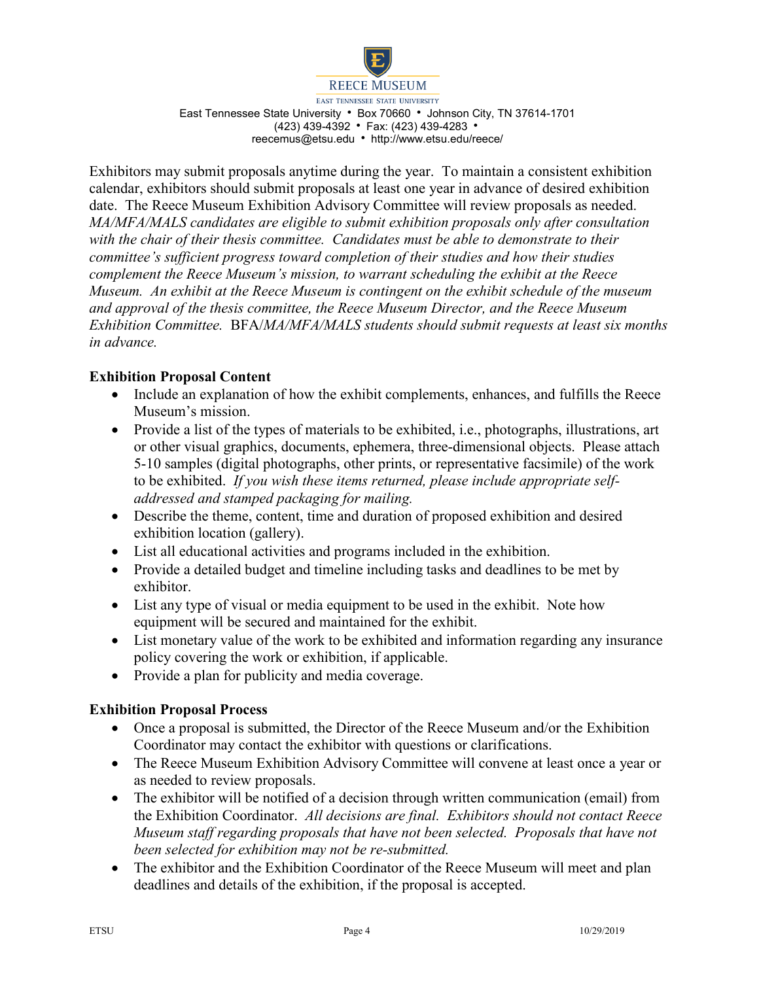

**REECE MUSEUM** 

EAST TENNESSEE STATE UNIVERSITY East Tennessee State University • Box 70660 • Johnson City, TN 37614-1701 (423) 439-4392 • Fax: (423) 439-4283 • reecemus@etsu.edu http://www.etsu.edu/reece/

Exhibitors may submit proposals anytime during the year. To maintain a consistent exhibition calendar, exhibitors should submit proposals at least one year in advance of desired exhibition date. The Reece Museum Exhibition Advisory Committee will review proposals as needed. *MA/MFA/MALS candidates are eligible to submit exhibition proposals only after consultation with the chair of their thesis committee. Candidates must be able to demonstrate to their committee's sufficient progress toward completion of their studies and how their studies complement the Reece Museum's mission, to warrant scheduling the exhibit at the Reece Museum. An exhibit at the Reece Museum is contingent on the exhibit schedule of the museum and approval of the thesis committee, the Reece Museum Director, and the Reece Museum Exhibition Committee.* BFA/*MA/MFA/MALS students should submit requests at least six months in advance.* 

## **Exhibition Proposal Content**

- Include an explanation of how the exhibit complements, enhances, and fulfills the Reece Museum's mission.
- Provide a list of the types of materials to be exhibited, i.e., photographs, illustrations, art or other visual graphics, documents, ephemera, three-dimensional objects. Please attach 5-10 samples (digital photographs, other prints, or representative facsimile) of the work to be exhibited. *If you wish these items returned, please include appropriate selfaddressed and stamped packaging for mailing.*
- Describe the theme, content, time and duration of proposed exhibition and desired exhibition location (gallery).
- List all educational activities and programs included in the exhibition.
- Provide a detailed budget and timeline including tasks and deadlines to be met by exhibitor.
- List any type of visual or media equipment to be used in the exhibit. Note how equipment will be secured and maintained for the exhibit.
- List monetary value of the work to be exhibited and information regarding any insurance policy covering the work or exhibition, if applicable.
- Provide a plan for publicity and media coverage.

### **Exhibition Proposal Process**

- Once a proposal is submitted, the Director of the Reece Museum and/or the Exhibition Coordinator may contact the exhibitor with questions or clarifications.
- The Reece Museum Exhibition Advisory Committee will convene at least once a year or as needed to review proposals.
- The exhibitor will be notified of a decision through written communication (email) from the Exhibition Coordinator.*All decisions are final. Exhibitors should not contact Reece Museum staff regarding proposals that have not been selected. Proposals that have not been selected for exhibition may not be re-submitted.*
- The exhibitor and the Exhibition Coordinator of the Reece Museum will meet and plan deadlines and details of the exhibition, if the proposal is accepted.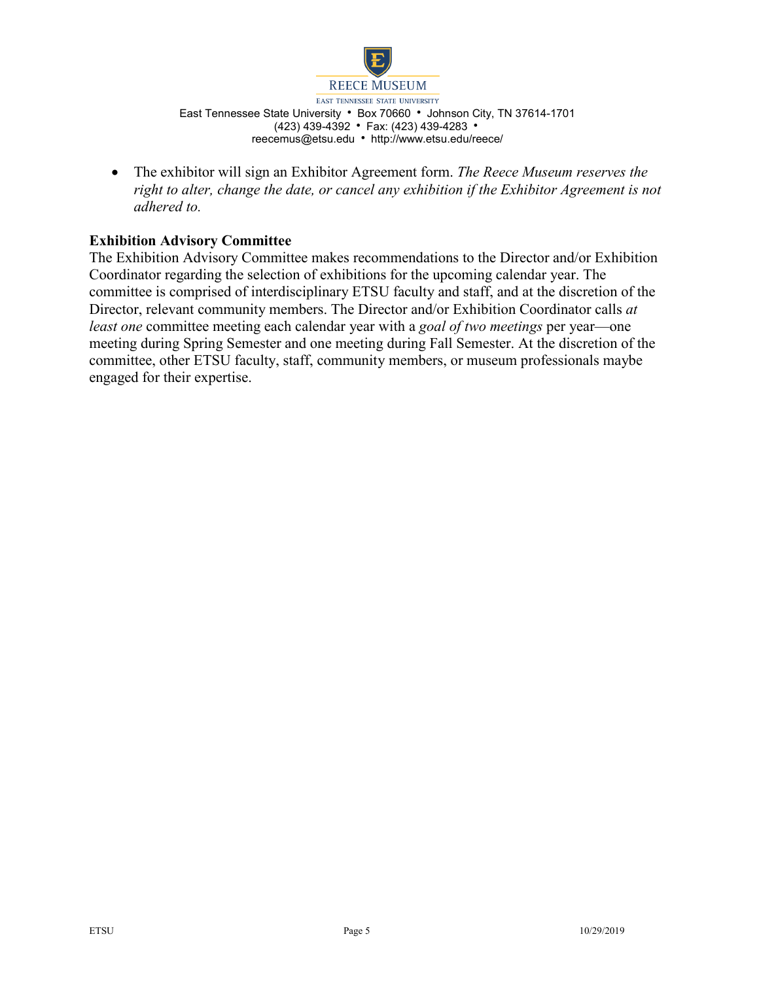

• The exhibitor will sign an Exhibitor Agreement form. *The Reece Museum reserves the right to alter, change the date, or cancel any exhibition if the Exhibitor Agreement is not adhered to.*

## **Exhibition Advisory Committee**

The Exhibition Advisory Committee makes recommendations to the Director and/or Exhibition Coordinator regarding the selection of exhibitions for the upcoming calendar year. The committee is comprised of interdisciplinary ETSU faculty and staff, and at the discretion of the Director, relevant community members. The Director and/or Exhibition Coordinator calls *at least one* committee meeting each calendar year with a *goal of two meetings* per year—one meeting during Spring Semester and one meeting during Fall Semester. At the discretion of the committee, other ETSU faculty, staff, community members, or museum professionals maybe engaged for their expertise.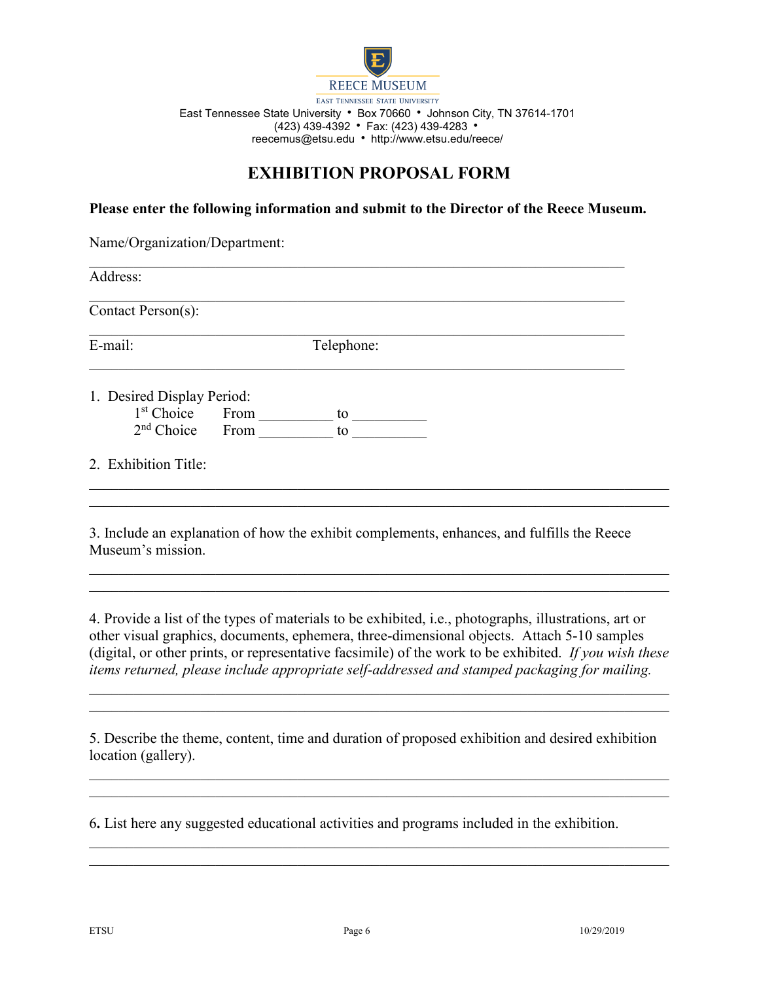

# **EXHIBITION PROPOSAL FORM**

**Please enter the following information and submit to the Director of the Reece Museum.**

| Name/Organization/Department: |  |            |  |  |  |  |
|-------------------------------|--|------------|--|--|--|--|
| Address:                      |  |            |  |  |  |  |
| Contact Person(s):            |  |            |  |  |  |  |
| E-mail:                       |  | Telephone: |  |  |  |  |
| 1. Desired Display Period:    |  |            |  |  |  |  |
| $1st$ Choice From             |  | to         |  |  |  |  |
| 2 <sup>nd</sup> Choice From   |  | to         |  |  |  |  |
| 2. Exhibition Title:          |  |            |  |  |  |  |
|                               |  |            |  |  |  |  |
|                               |  |            |  |  |  |  |

3. Include an explanation of how the exhibit complements, enhances, and fulfills the Reece Museum's mission.

4. Provide a list of the types of materials to be exhibited, i.e., photographs, illustrations, art or other visual graphics, documents, ephemera, three-dimensional objects. Attach 5-10 samples (digital, or other prints, or representative facsimile) of the work to be exhibited. *If you wish these items returned, please include appropriate self-addressed and stamped packaging for mailing.*

*\_\_\_\_\_\_\_\_\_\_\_\_\_\_\_\_\_\_\_\_\_\_\_\_\_\_\_\_\_\_\_\_\_\_\_\_\_\_\_\_\_\_\_\_\_\_\_\_\_\_\_\_\_\_\_\_\_\_\_\_\_\_\_\_\_\_\_\_\_\_\_\_\_\_\_\_\_\_*

\_\_\_\_\_\_\_\_\_\_\_\_\_\_\_\_\_\_\_\_\_\_\_\_\_\_\_\_\_\_\_\_\_\_\_\_\_\_\_\_\_\_\_\_\_\_\_\_\_\_\_\_\_\_\_\_\_\_\_\_\_\_\_\_\_\_\_\_\_\_\_\_\_\_\_\_\_\_

5. Describe the theme, content, time and duration of proposed exhibition and desired exhibition location (gallery).

\_\_\_\_\_\_\_\_\_\_\_\_\_\_\_\_\_\_\_\_\_\_\_\_\_\_\_\_\_\_\_\_\_\_\_\_\_\_\_\_\_\_\_\_\_\_\_\_\_\_\_\_\_\_\_\_\_\_\_\_\_\_\_\_\_\_\_\_\_\_\_\_\_\_\_\_\_\_

\_\_\_\_\_\_\_\_\_\_\_\_\_\_\_\_\_\_\_\_\_\_\_\_\_\_\_\_\_\_\_\_\_\_\_\_\_\_\_\_\_\_\_\_\_\_\_\_\_\_\_\_\_\_\_\_\_\_\_\_\_\_\_\_\_\_\_\_\_\_\_\_\_\_\_\_\_\_

6**.** List here any suggested educational activities and programs included in the exhibition.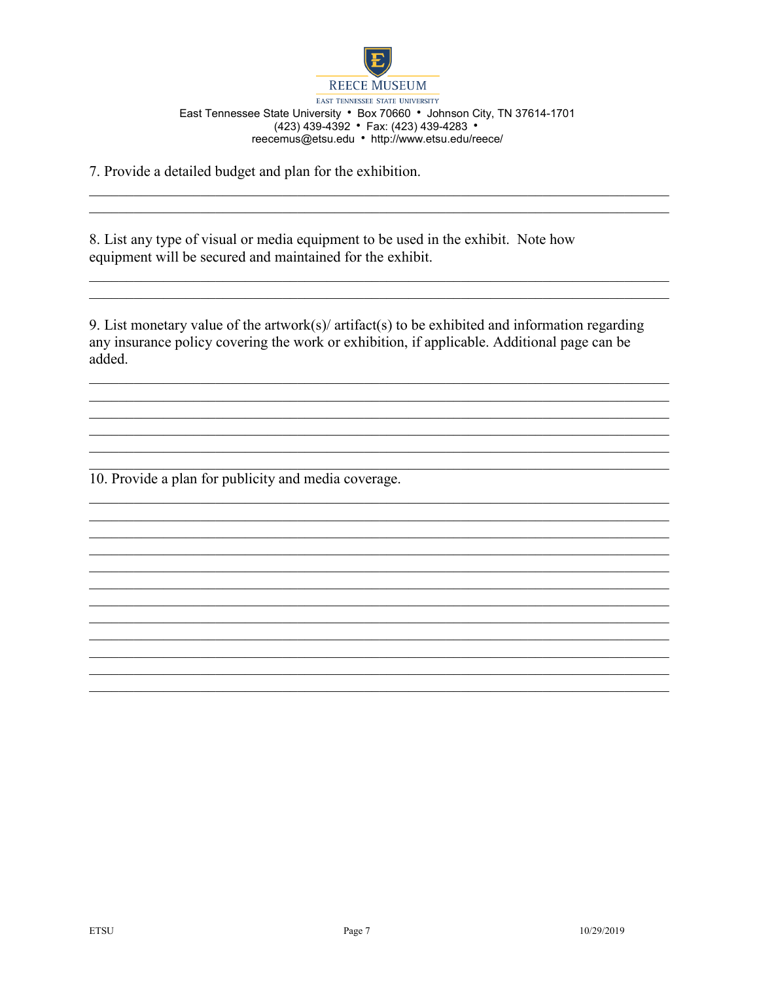

7. Provide a detailed budget and plan for the exhibition.

8. List any type of visual or media equipment to be used in the exhibit. Note how equipment will be secured and maintained for the exhibit.

9. List monetary value of the artwork(s)/ artifact(s) to be exhibited and information regarding any insurance policy covering the work or exhibition, if applicable. Additional page can be added.

10. Provide a plan for publicity and media coverage.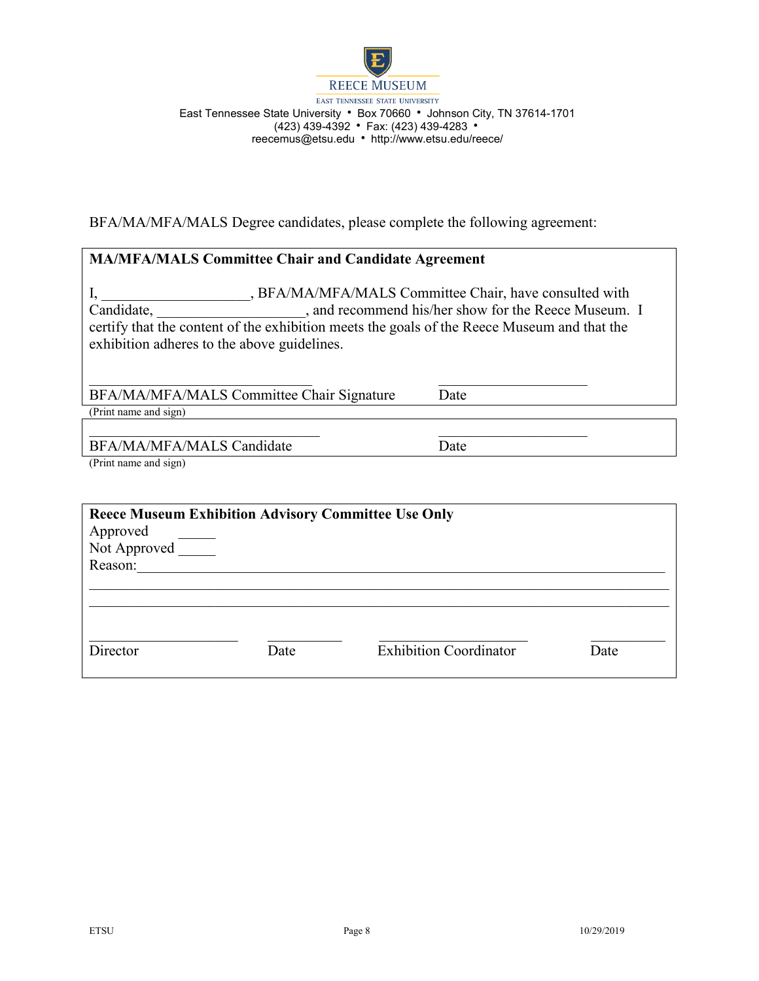

BFA/MA/MFA/MALS Degree candidates, please complete the following agreement:

| <b>MA/MFA/MALS Committee Chair and Candidate Agreement</b>                                                                                                                                                                                                                 |      |  |  |  |  |
|----------------------------------------------------------------------------------------------------------------------------------------------------------------------------------------------------------------------------------------------------------------------------|------|--|--|--|--|
| , BFA/MA/MFA/MALS Committee Chair, have consulted with<br>, and recommend his/her show for the Reece Museum. I<br>Candidate,<br>certify that the content of the exhibition meets the goals of the Reece Museum and that the<br>exhibition adheres to the above guidelines. |      |  |  |  |  |
| BFA/MA/MFA/MALS Committee Chair Signature                                                                                                                                                                                                                                  | Date |  |  |  |  |
| (Print name and sign)                                                                                                                                                                                                                                                      |      |  |  |  |  |
| BFA/MA/MFA/MALS Candidate<br>(Print name and sign)                                                                                                                                                                                                                         | Date |  |  |  |  |

| <b>Reece Museum Exhibition Advisory Committee Use Only</b><br>Approved<br>Not Approved<br>Reason: |      |                               |      |
|---------------------------------------------------------------------------------------------------|------|-------------------------------|------|
| Director                                                                                          | Date | <b>Exhibition Coordinator</b> | Date |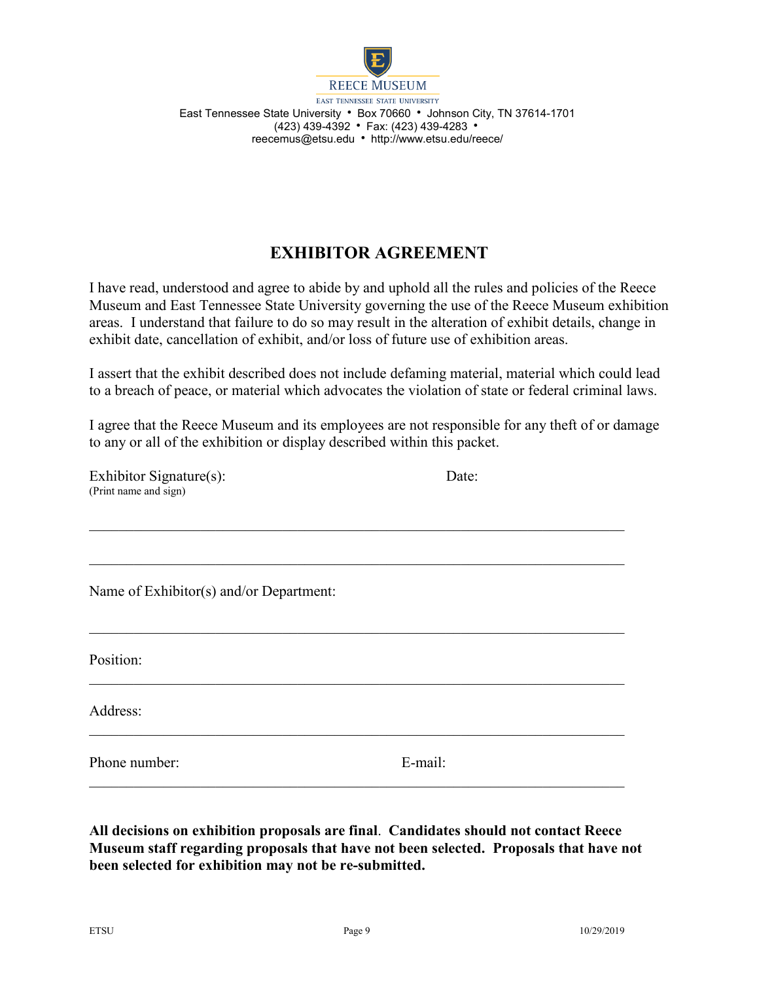

# **EXHIBITOR AGREEMENT**

I have read, understood and agree to abide by and uphold all the rules and policies of the Reece Museum and East Tennessee State University governing the use of the Reece Museum exhibition areas. I understand that failure to do so may result in the alteration of exhibit details, change in exhibit date, cancellation of exhibit, and/or loss of future use of exhibition areas.

I assert that the exhibit described does not include defaming material, material which could lead to a breach of peace, or material which advocates the violation of state or federal criminal laws.

I agree that the Reece Museum and its employees are not responsible for any theft of or damage to any or all of the exhibition or display described within this packet.

 $\mathcal{L}_\text{max} = \mathcal{L}_\text{max} = \mathcal{L}_\text{max} = \mathcal{L}_\text{max} = \mathcal{L}_\text{max} = \mathcal{L}_\text{max} = \mathcal{L}_\text{max} = \mathcal{L}_\text{max} = \mathcal{L}_\text{max} = \mathcal{L}_\text{max} = \mathcal{L}_\text{max} = \mathcal{L}_\text{max} = \mathcal{L}_\text{max} = \mathcal{L}_\text{max} = \mathcal{L}_\text{max} = \mathcal{L}_\text{max} = \mathcal{L}_\text{max} = \mathcal{L}_\text{max} = \mathcal{$ 

 $\mathcal{L}_\text{G}$  , and the contribution of the contribution of the contribution of the contribution of the contribution of the contribution of the contribution of the contribution of the contribution of the contribution of t

 $\mathcal{L}_\text{G}$  , and the contribution of the contribution of the contribution of the contribution of the contribution of the contribution of the contribution of the contribution of the contribution of the contribution of t

 $\mathcal{L}_\text{G}$  , and the contribution of the contribution of the contribution of the contribution of the contribution of the contribution of the contribution of the contribution of the contribution of the contribution of t

 $\mathcal{L}_\text{max} = \mathcal{L}_\text{max} = \mathcal{L}_\text{max} = \mathcal{L}_\text{max} = \mathcal{L}_\text{max} = \mathcal{L}_\text{max} = \mathcal{L}_\text{max} = \mathcal{L}_\text{max} = \mathcal{L}_\text{max} = \mathcal{L}_\text{max} = \mathcal{L}_\text{max} = \mathcal{L}_\text{max} = \mathcal{L}_\text{max} = \mathcal{L}_\text{max} = \mathcal{L}_\text{max} = \mathcal{L}_\text{max} = \mathcal{L}_\text{max} = \mathcal{L}_\text{max} = \mathcal{$ 

| Exhibitor Signature(s): | Date: |
|-------------------------|-------|
| (Print name and sign)   |       |

Name of Exhibitor(s) and/or Department:

Position:

Address:

Phone number: E-mail:

**All decisions on exhibition proposals are final**. **Candidates should not contact Reece Museum staff regarding proposals that have not been selected. Proposals that have not been selected for exhibition may not be re-submitted.**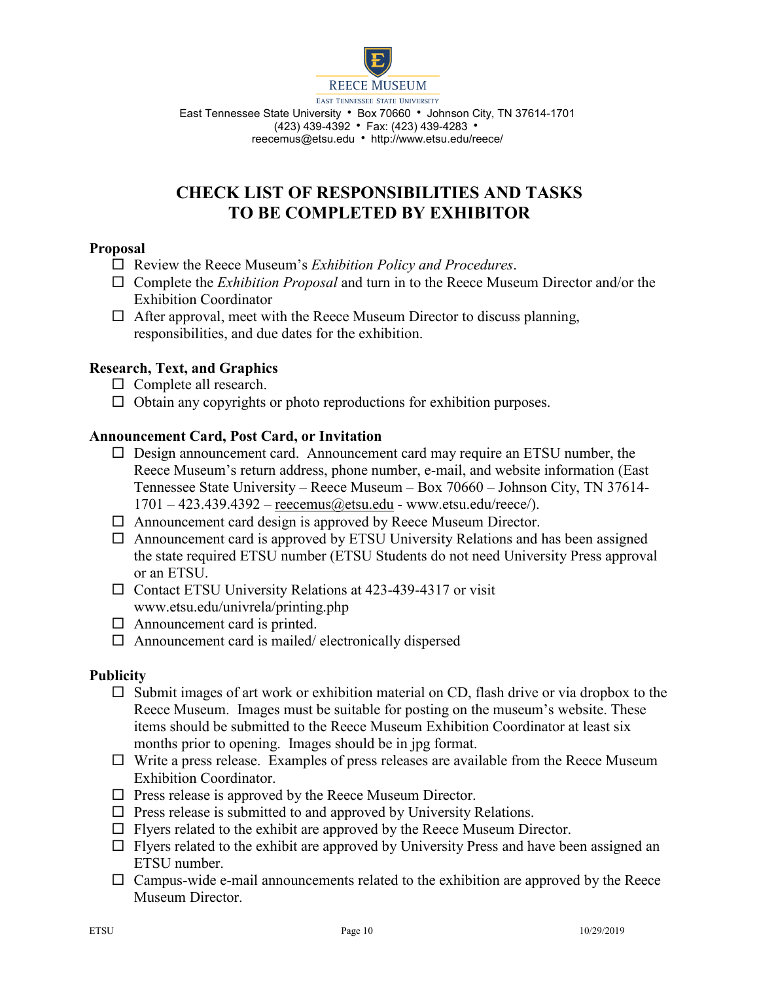

# **CHECK LIST OF RESPONSIBILITIES AND TASKS TO BE COMPLETED BY EXHIBITOR**

### **Proposal**

- Review the Reece Museum's *Exhibition Policy and Procedures*.
- Complete the *Exhibition Proposal* and turn in to the Reece Museum Director and/or the Exhibition Coordinator
- $\Box$  After approval, meet with the Reece Museum Director to discuss planning, responsibilities, and due dates for the exhibition.

### **Research, Text, and Graphics**

- $\Box$  Complete all research.
- $\Box$  Obtain any copyrights or photo reproductions for exhibition purposes.

### **Announcement Card, Post Card, or Invitation**

- $\Box$  Design announcement card. Announcement card may require an ETSU number, the Reece Museum's return address, phone number, e-mail, and website information (East Tennessee State University – Reece Museum – Box 70660 – Johnson City, TN 37614-  $1701 - 423.439.4392 -$  [reecemus@etsu.edu](mailto:reecemus@etsu.edu) - www.etsu.edu/reece/).
- $\Box$  Announcement card design is approved by Reece Museum Director.
- $\Box$  Announcement card is approved by ETSU University Relations and has been assigned the state required ETSU number (ETSU Students do not need University Press approval or an ETSU.
- $\Box$  Contact ETSU University Relations at 423-439-4317 or visit www.etsu.edu/univrela/printing.php
- $\Box$  Announcement card is printed.
- $\Box$  Announcement card is mailed/ electronically dispersed

#### **Publicity**

- $\Box$  Submit images of art work or exhibition material on CD, flash drive or via dropbox to the Reece Museum. Images must be suitable for posting on the museum's website. These items should be submitted to the Reece Museum Exhibition Coordinator at least six months prior to opening. Images should be in jpg format.
- $\Box$  Write a press release. Examples of press releases are available from the Reece Museum Exhibition Coordinator.
- $\Box$  Press release is approved by the Reece Museum Director.
- $\Box$  Press release is submitted to and approved by University Relations.
- $\Box$  Flyers related to the exhibit are approved by the Reece Museum Director.
- $\Box$  Flyers related to the exhibit are approved by University Press and have been assigned an ETSU number.
- $\Box$  Campus-wide e-mail announcements related to the exhibition are approved by the Reece Museum Director.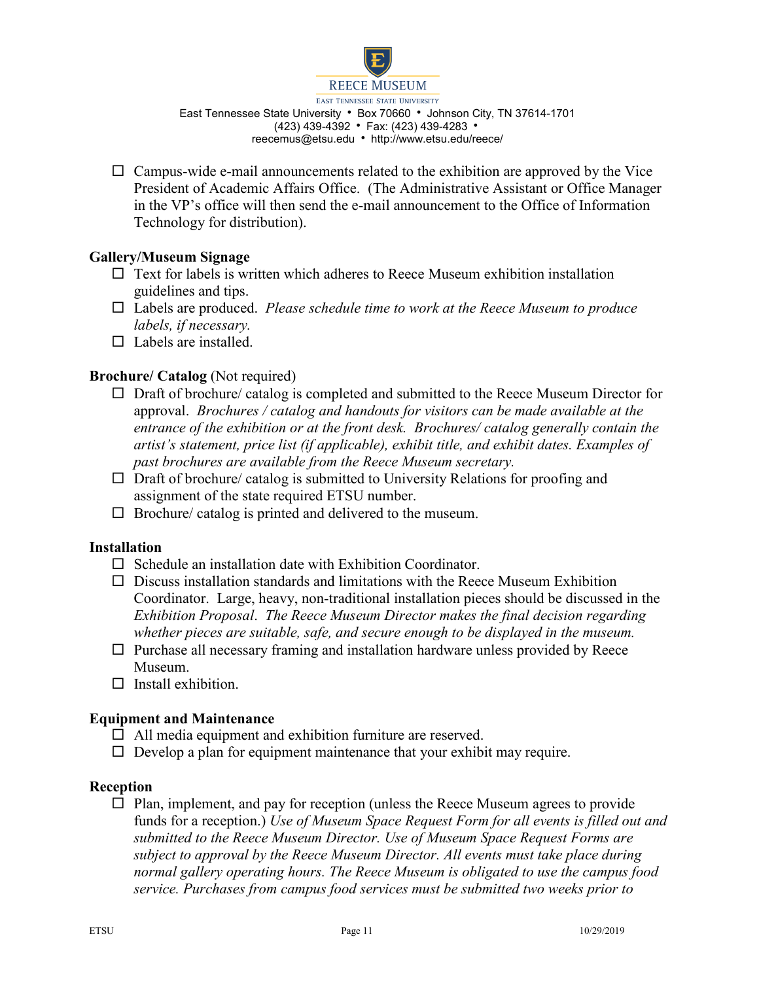

 $\Box$  Campus-wide e-mail announcements related to the exhibition are approved by the Vice President of Academic Affairs Office. (The Administrative Assistant or Office Manager in the VP's office will then send the e-mail announcement to the Office of Information Technology for distribution).

## **Gallery/Museum Signage**

- $\Box$  Text for labels is written which adheres to Reece Museum exhibition installation guidelines and tips.
- Labels are produced. *Please schedule time to work at the Reece Museum to produce labels, if necessary.*
- $\Box$  Labels are installed.

## **Brochure/ Catalog (Not required)**

- $\Box$  Draft of brochure/ catalog is completed and submitted to the Reece Museum Director for approval. *Brochures / catalog and handouts for visitors can be made available at the entrance of the exhibition or at the front desk. Brochures/ catalog generally contain the artist's statement, price list (if applicable), exhibit title, and exhibit dates. Examples of past brochures are available from the Reece Museum secretary.*
- $\Box$  Draft of brochure/ catalog is submitted to University Relations for proofing and assignment of the state required ETSU number.
- $\Box$  Brochure/ catalog is printed and delivered to the museum.

### **Installation**

- $\Box$  Schedule an installation date with Exhibition Coordinator.
- $\Box$  Discuss installation standards and limitations with the Reece Museum Exhibition Coordinator. Large, heavy, non-traditional installation pieces should be discussed in the *Exhibition Proposal*. *The Reece Museum Director makes the final decision regarding whether pieces are suitable, safe, and secure enough to be displayed in the museum.*
- $\Box$  Purchase all necessary framing and installation hardware unless provided by Reece Museum.
- $\Box$  Install exhibition.

### **Equipment and Maintenance**

- $\Box$  All media equipment and exhibition furniture are reserved.
- $\Box$  Develop a plan for equipment maintenance that your exhibit may require.

### **Reception**

 $\Box$  Plan, implement, and pay for reception (unless the Reece Museum agrees to provide funds for a reception.) *Use of Museum Space Request Form for all events is filled out and submitted to the Reece Museum Director. Use of Museum Space Request Forms are subject to approval by the Reece Museum Director. All events must take place during normal gallery operating hours. The Reece Museum is obligated to use the campus food service. Purchases from campus food services must be submitted two weeks prior to*